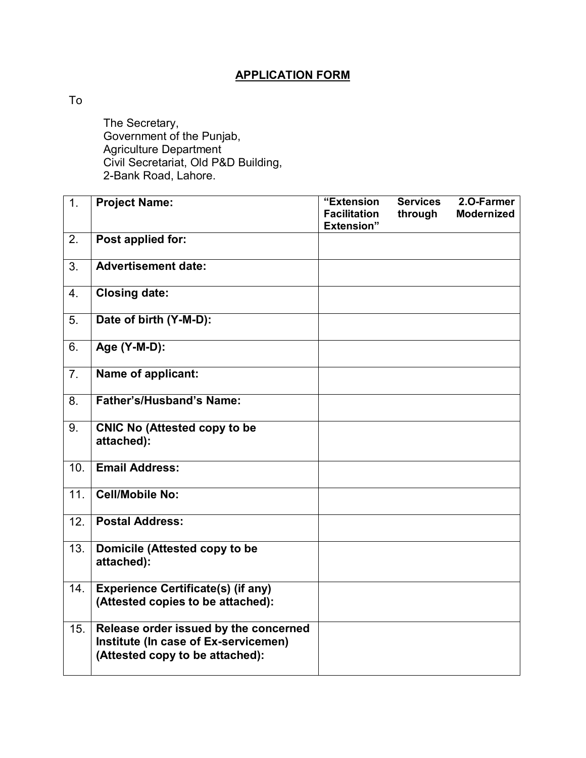## **APPLICATION FORM**

To

The Secretary, Government of the Punjab, Agriculture Department Civil Secretariat, Old P&D Building, 2-Bank Road, Lahore.

| 1.               | <b>Project Name:</b>                                                                                             | "Extension<br><b>Facilitation</b><br><b>Extension</b> " | <b>Services</b><br>through | 2.O-Farmer<br><b>Modernized</b> |
|------------------|------------------------------------------------------------------------------------------------------------------|---------------------------------------------------------|----------------------------|---------------------------------|
| 2.               | Post applied for:                                                                                                |                                                         |                            |                                 |
| 3.               | <b>Advertisement date:</b>                                                                                       |                                                         |                            |                                 |
| 4.               | <b>Closing date:</b>                                                                                             |                                                         |                            |                                 |
| 5.               | Date of birth (Y-M-D):                                                                                           |                                                         |                            |                                 |
| 6.               | Age (Y-M-D):                                                                                                     |                                                         |                            |                                 |
| $\overline{7}$ . | Name of applicant:                                                                                               |                                                         |                            |                                 |
| 8.               | Father's/Husband's Name:                                                                                         |                                                         |                            |                                 |
| 9.               | <b>CNIC No (Attested copy to be</b><br>attached):                                                                |                                                         |                            |                                 |
| 10.              | <b>Email Address:</b>                                                                                            |                                                         |                            |                                 |
| 11.              | <b>Cell/Mobile No:</b>                                                                                           |                                                         |                            |                                 |
| 12.              | <b>Postal Address:</b>                                                                                           |                                                         |                            |                                 |
| 13.              | Domicile (Attested copy to be<br>attached):                                                                      |                                                         |                            |                                 |
| 14.              | <b>Experience Certificate(s) (if any)</b><br>(Attested copies to be attached):                                   |                                                         |                            |                                 |
| 15.              | Release order issued by the concerned<br>Institute (In case of Ex-servicemen)<br>(Attested copy to be attached): |                                                         |                            |                                 |